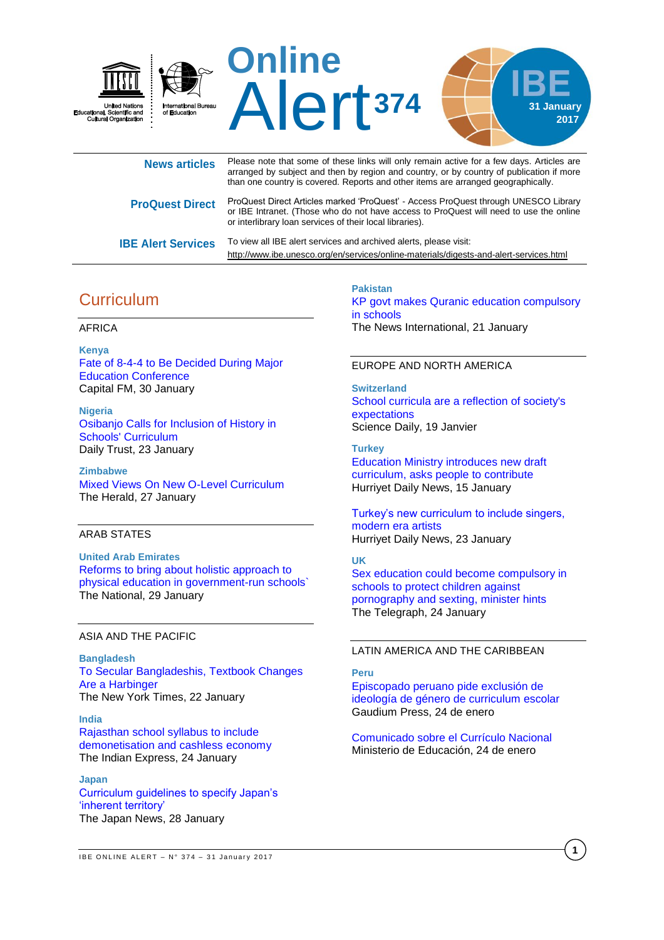

| <b>News articles</b>      | Please note that some of these links will only remain active for a few days. Articles are<br>arranged by subject and then by region and country, or by country of publication if more<br>than one country is covered. Reports and other items are arranged geographically. |
|---------------------------|----------------------------------------------------------------------------------------------------------------------------------------------------------------------------------------------------------------------------------------------------------------------------|
| <b>ProQuest Direct</b>    | ProQuest Direct Articles marked 'ProQuest' - Access ProQuest through UNESCO Library<br>or IBE Intranet. (Those who do not have access to ProQuest will need to use the online<br>or interlibrary loan services of their local libraries).                                  |
| <b>IBE Alert Services</b> | To view all IBE alert services and archived alerts, please visit:<br>http://www.ibe.unesco.org/en/services/online-materials/digests-and-alert-services.html                                                                                                                |

# **Curriculum**

### AFRICA

**Kenya** [Fate of 8-4-4 to Be Decided During Major](http://allafrica.com/stories/201701300724.html)  [Education Conference](http://allafrica.com/stories/201701300724.html) Capital FM, 30 January

**Nigeria** [Osibanjo Calls for Inclusion of History in](http://allafrica.com/stories/201701240015.html)  [Schools' Curriculum](http://allafrica.com/stories/201701240015.html) Daily Trust, 23 January

**Zimbabwe** [Mixed Views On New O-Level Curriculum](http://allafrica.com/stories/201701270065.html) The Herald, 27 January

## ARAB STATES

**United Arab Emirates** [Reforms to bring about holistic approach to](http://www.thenational.ae/uae/reforms-to-bring-about-holistic-approach-to-physical-education-in-government-run-schools)  [physical education in government-run schools`](http://www.thenational.ae/uae/reforms-to-bring-about-holistic-approach-to-physical-education-in-government-run-schools) The National, 29 January

### ASIA AND THE PACIFIC

**Bangladesh** [To Secular Bangladeshis, Textbook Changes](https://www.nytimes.com/2017/01/22/world/asia/bangladesh-textbooks-radical-islam.html)  [Are a Harbinger](https://www.nytimes.com/2017/01/22/world/asia/bangladesh-textbooks-radical-islam.html) The New York Times, 22 January

#### **India**

[Rajasthan school syllabus to include](http://indianexpress.com/article/education/rajasthan-school-syllabus-to-include-demonetisation-and-cashless-economy/)  [demonetisation and cashless](http://indianexpress.com/article/education/rajasthan-school-syllabus-to-include-demonetisation-and-cashless-economy/) economy The Indian Express, 24 January

**Japan** [Curriculum guidelines to specify Japan's](http://the-japan-news.com/news/article/0003488241)  ['inherent territory'](http://the-japan-news.com/news/article/0003488241) The Japan News, 28 January

**Pakistan** [KP govt makes Quranic education compulsory](https://www.thenews.com.pk/print/180736-KP-govt-makes-Quranic-education-compulsory-in-schools)  [in schools](https://www.thenews.com.pk/print/180736-KP-govt-makes-Quranic-education-compulsory-in-schools) The News International, 21 January

#### EUROPE AND NORTH AMERICA

**Switzerland** [School curricula are a reflection of society's](https://www.sciencedaily.com/releases/2017/01/170119083549.htm)  [expectations](https://www.sciencedaily.com/releases/2017/01/170119083549.htm) Science Daily, 19 Janvier

**Turkey** [Education Ministry introduces new draft](http://www.hurriyetdailynews.com/education-ministry-introduces-new-draft-curriculum-asks-people-to-contribute-.aspx?PageID=238&NID=108555&NewsCatID=341)  [curriculum, asks people to contribute](http://www.hurriyetdailynews.com/education-ministry-introduces-new-draft-curriculum-asks-people-to-contribute-.aspx?PageID=238&NID=108555&NewsCatID=341) Hurriyet Daily News, 15 January

[Turkey's new curriculum to include singers,](http://www.hurriyetdailynews.com/turkeys-new-curriculum-to-include-singers-modern-era-artists.aspx?pageID=238&nID=108862&NewsCatID=341)  [modern era artists](http://www.hurriyetdailynews.com/turkeys-new-curriculum-to-include-singers-modern-era-artists.aspx?pageID=238&nID=108862&NewsCatID=341) Hurriyet Daily News, 23 January

#### **UK**

[Sex education could become compulsory in](http://www.telegraph.co.uk/education/2017/01/24/sex-education-could-become-compulsory-schools-protect-children/)  [schools to protect children against](http://www.telegraph.co.uk/education/2017/01/24/sex-education-could-become-compulsory-schools-protect-children/)  [pornography and sexting, minister hints](http://www.telegraph.co.uk/education/2017/01/24/sex-education-could-become-compulsory-schools-protect-children/) The Telegraph, 24 January

### LATIN AMERICA AND THE CARIBBEAN

#### **Peru**

[Episcopado peruano pide exclusión de](http://es.gaudiumpress.org/content/84947-Episcopado-peruano-pide-exclusion-de-ideologia-de-genero-de-curriculum-escolar)  [ideología de género de curriculum escolar](http://es.gaudiumpress.org/content/84947-Episcopado-peruano-pide-exclusion-de-ideologia-de-genero-de-curriculum-escolar) Gaudium Press, 24 de enero

[Comunicado sobre el Currículo Nacional](http://www.minedu.gob.pe/n/noticia.php?id=41555) Ministerio de Educación, 24 de enero

**1**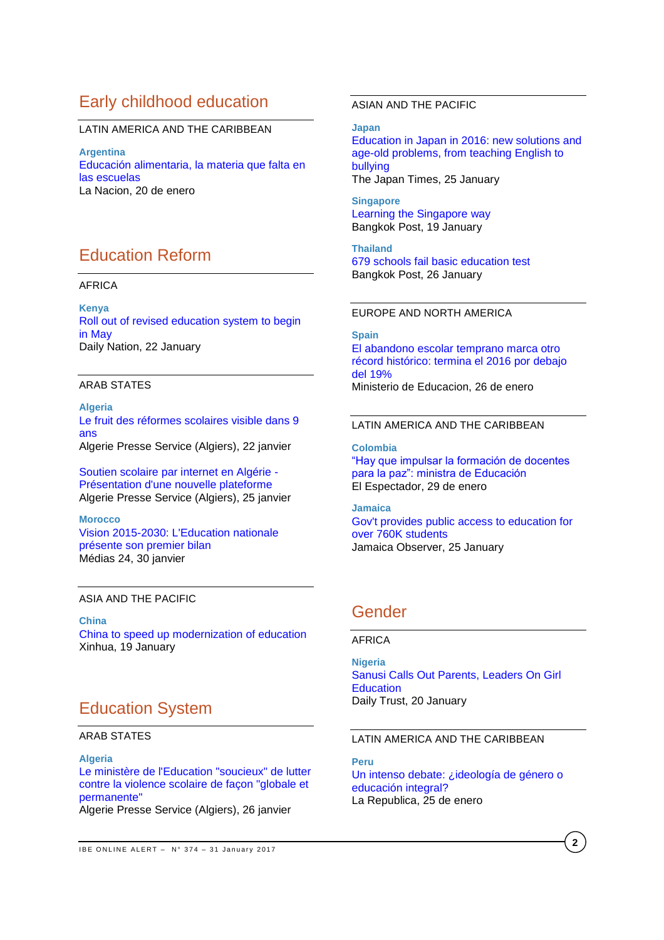## Early childhood education

## LATIN AMERICA AND THE CARIBBEAN

**Argentina** [Educación alimentaria, la materia que falta en](http://www.lanacion.com.ar/1977436-educacion-alimentaria-la-materia-que-falta-en-las-escuelas)  [las escuelas](http://www.lanacion.com.ar/1977436-educacion-alimentaria-la-materia-que-falta-en-las-escuelas) La Nacion, 20 de enero

# Education Reform

#### AFRICA

**Kenya** [Roll out of revised education system to begin](http://www.nation.co.ke/news/education/education/2643604-3782408-14o33xxz/)  [in May](http://www.nation.co.ke/news/education/education/2643604-3782408-14o33xxz/) Daily Nation, 22 January

#### ARAB STATES

**Algeria** [Le fruit des réformes scolaires visible dans 9](http://fr.allafrica.com/stories/201701220136.html)  [ans](http://fr.allafrica.com/stories/201701220136.html) Algerie Presse Service (Algiers), 22 janvier

[Soutien scolaire par internet en Algérie -](http://fr.allafrica.com/stories/201701260312.html) [Présentation d'une nouvelle plateforme](http://fr.allafrica.com/stories/201701260312.html) Algerie Presse Service (Algiers), 25 janvier

**Morocco** [Vision 2015-2030: L'Education](http://www.medias24.com/MAROC/SOCIETE/170463-L-Education-nationale-presente-son-premier-bilan-de-la-vision-2015-2030.html) nationale [présente son premier bilan](http://www.medias24.com/MAROC/SOCIETE/170463-L-Education-nationale-presente-son-premier-bilan-de-la-vision-2015-2030.html) Médias 24, 30 janvier

### ASIA AND THE PACIFIC

**China** [China to speed up modernization of education](http://news.xinhuanet.com/english/2017-01/19/c_135997729.htm) Xinhua, 19 January

# Education System

#### ARAB STATES

#### **Algeria**

[Le ministère de l'Education "soucieux" de lutter](http://fr.allafrica.com/stories/201701270086.html)  [contre la violence scolaire de façon "globale et](http://fr.allafrica.com/stories/201701270086.html)  [permanente"](http://fr.allafrica.com/stories/201701270086.html)

Algerie Presse Service (Algiers), 26 janvier

### ASIAN AND THE PACIFIC

**Japan** [Education in Japan in 2016: new solutions and](http://www.japantimes.co.jp/community/2017/01/25/issues/education-japan-2016-new-solutions-age-old-problems-teaching-english-bullying/#.WI33Snd7SRY)  [age-old problems, from teaching English to](http://www.japantimes.co.jp/community/2017/01/25/issues/education-japan-2016-new-solutions-age-old-problems-teaching-english-bullying/#.WI33Snd7SRY)  [bullying](http://www.japantimes.co.jp/community/2017/01/25/issues/education-japan-2016-new-solutions-age-old-problems-teaching-english-bullying/#.WI33Snd7SRY) The Japan Times, 25 January

**Singapore** [Learning the Singapore way](http://www.bangkokpost.com/news/special-reports/1183152/learning-the-singapore-way) Bangkok Post, 19 January

**Thailand** [679 schools fail basic education test](http://www.bangkokpost.com/news/general/1186261/679-schools-fail-basic-education-test) Bangkok Post, 26 January

#### EUROPE AND NORTH AMERICA

**Spain** El abandono [escolar temprano marca otro](http://www.mecd.gob.es/prensa-mecd/actualidad/2017/01/20170126-abandono.html)  [récord histórico: termina el 2016 por debajo](http://www.mecd.gob.es/prensa-mecd/actualidad/2017/01/20170126-abandono.html)  [del 19%](http://www.mecd.gob.es/prensa-mecd/actualidad/2017/01/20170126-abandono.html) Ministerio de Educacion, 26 de enero

### LATIN AMERICA AND THE CARIBBEAN

**Colombia** ["Hay que impulsar la formación de docentes](http://www.elespectador.com/noticias/educacion/hay-impulsar-formacion-de-docentes-paz-ministra-de-educ-articulo-677004)  [para la paz": ministra de Educación](http://www.elespectador.com/noticias/educacion/hay-impulsar-formacion-de-docentes-paz-ministra-de-educ-articulo-677004) El Espectador, 29 de enero

**Jamaica** [Gov't provides public access to education for](http://www.jamaicaobserver.com/news/Gov-t-provides-public-access-to-education-for-over-760K-students)  [over 760K students](http://www.jamaicaobserver.com/news/Gov-t-provides-public-access-to-education-for-over-760K-students) Jamaica Observer, 25 January

## Gender

### AFRICA

**Nigeria** [Sanusi Calls Out Parents, Leaders On Girl](http://allafrica.com/stories/201701200324.html)  **[Education](http://allafrica.com/stories/201701200324.html)** Daily Trust, 20 January

### LATIN AMERICA AND THE CARIBBEAN

**Peru** [Un intenso debate: ¿ideología de género o](http://larepublica.pe/impresa/sociedad/842614-un-intenso-debate-ideologia-de-genero-o-educacion-integral)  [educación integral?](http://larepublica.pe/impresa/sociedad/842614-un-intenso-debate-ideologia-de-genero-o-educacion-integral) La Republica, 25 de enero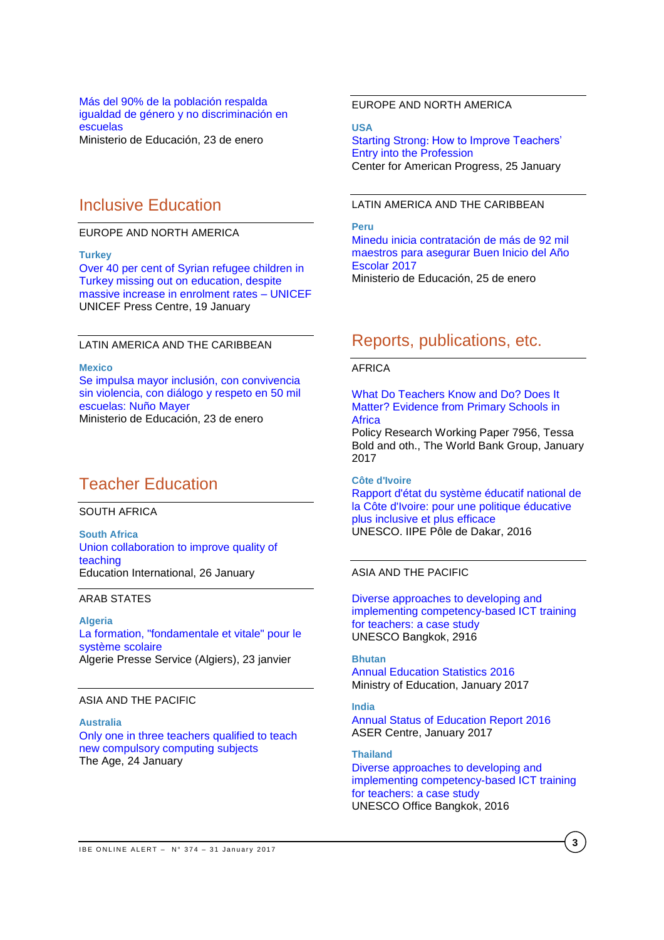#### [Más del 90% de la población respalda](http://www.minedu.gob.pe/n/noticia.php?id=41551)  [igualdad de género y no discriminación en](http://www.minedu.gob.pe/n/noticia.php?id=41551)  [escuelas](http://www.minedu.gob.pe/n/noticia.php?id=41551) Ministerio de Educación, 23 de enero

## Inclusive Education

### EUROPE AND NORTH AMERICA

#### **Turkey**

[Over 40 per cent of Syrian refugee children in](https://www.unicef.org/media/media_94417.html)  [Turkey missing out on education, despite](https://www.unicef.org/media/media_94417.html)  [massive increase in enrolment rates –](https://www.unicef.org/media/media_94417.html) UNICEF UNICEF Press Centre, 19 January

#### LATIN AMERICA AND THE CARIBBEAN

#### **Mexico**

[Se impulsa mayor inclusión, con convivencia](http://www.gob.mx/sep/prensa/comunicado-22-se-impulsa-mayor-inclusion-con-convivencia-sin-violencia-con-dialogo-y-respeto-en-50-mil-escuelas-nuno-mayer?idiom=es)  [sin violencia, con diálogo](http://www.gob.mx/sep/prensa/comunicado-22-se-impulsa-mayor-inclusion-con-convivencia-sin-violencia-con-dialogo-y-respeto-en-50-mil-escuelas-nuno-mayer?idiom=es) y respeto en 50 mil [escuelas: Nuño Mayer](http://www.gob.mx/sep/prensa/comunicado-22-se-impulsa-mayor-inclusion-con-convivencia-sin-violencia-con-dialogo-y-respeto-en-50-mil-escuelas-nuno-mayer?idiom=es) Ministerio de Educación, 23 de enero

# Teacher Education

SOUTH AFRICA

**South Africa** [Union collaboration to improve quality of](https://www.ei-ie.org/en/news/news_details/4264)  [teaching](https://www.ei-ie.org/en/news/news_details/4264) Education International, 26 January

### ARAB STATES

**Algeria** [La formation, "fondamentale et vitale" pour le](http://fr.allafrica.com/stories/201701230327.html)  [système scolaire](http://fr.allafrica.com/stories/201701230327.html) Algerie Presse Service (Algiers), 23 janvier

### ASIA AND THE PACIFIC

**Australia** [Only one in three teachers qualified to teach](http://www.theage.com.au/victoria/only-one-in-three-teachers-qualified-to-teach-new-compulsory-computing-subjects-20170124-gtxw8f.html)  [new compulsory computing subjects](http://www.theage.com.au/victoria/only-one-in-three-teachers-qualified-to-teach-new-compulsory-computing-subjects-20170124-gtxw8f.html) The Age, 24 January

## EUROPE AND NORTH AMERICA

**USA** Starting Strong: [How to Improve Teachers'](https://www.americanprogress.org/issues/education/reports/2017/01/25/295885/starting-strong/)  [Entry into the Profession](https://www.americanprogress.org/issues/education/reports/2017/01/25/295885/starting-strong/) Center for American Progress, 25 January

## LATIN AMERICA AND THE CARIBBEAN

**Peru** [Minedu inicia contratación de más de 92 mil](http://www.minedu.gob.pe/n/noticia.php?id=41636)  [maestros para asegurar Buen Inicio del Año](http://www.minedu.gob.pe/n/noticia.php?id=41636)  [Escolar 2017](http://www.minedu.gob.pe/n/noticia.php?id=41636) Ministerio de Educación, 25 de enero

## Reports, publications, etc.

### **AFRICA**

[What Do Teachers Know and Do? Does It](http://documents.worldbank.org/curated/en/882091485440895147/pdf/WPS7956.pdf)  [Matter? Evidence from Primary Schools in](http://documents.worldbank.org/curated/en/882091485440895147/pdf/WPS7956.pdf)  **Africa** 

Policy Research Working Paper 7956, Tessa Bold and oth., The World Bank Group, January 2017

**Côte d'Ivoire** [Rapport d'état du système éducatif national de](http://unesdoc.unesco.org/images/0024/002470/247040f.pdf)  [la Côte d'Ivoire: pour une politique éducative](http://unesdoc.unesco.org/images/0024/002470/247040f.pdf)  [plus inclusive et plus efficace](http://unesdoc.unesco.org/images/0024/002470/247040f.pdf) UNESCO. IIPE Pôle de Dakar, 2016

## ASIA AND THE PACIFIC

[Diverse approaches to developing and](http://unesdoc.unesco.org/images/0024/002460/246003e.pdf)  [implementing competency-based ICT training](http://unesdoc.unesco.org/images/0024/002460/246003e.pdf)  [for teachers: a case study](http://unesdoc.unesco.org/images/0024/002460/246003e.pdf) UNESCO Bangkok, 2916

**Bhutan** [Annual Education Statistics 2016](http://www.education.gov.bt/documents/10180/12664/Annual+Education+Statistics+2016.pdf/8dc6828d-4de3-4e57-bc8c-0f6e9930422e?version=1.0) Ministry of Education, January 2017

### **India**

[Annual Status of Education Report 2016](http://img.asercentre.org/docs/Publications/ASER%20Reports/ASER%202016/aser_2016.pdf) ASER Centre, January 2017

**Thailand** [Diverse approaches to developing and](http://unesdoc.unesco.org/images/0024/002460/246003e.pdf)  [implementing competency-based ICT training](http://unesdoc.unesco.org/images/0024/002460/246003e.pdf)  [for teachers: a case study](http://unesdoc.unesco.org/images/0024/002460/246003e.pdf) UNESCO Office Bangkok, 2016

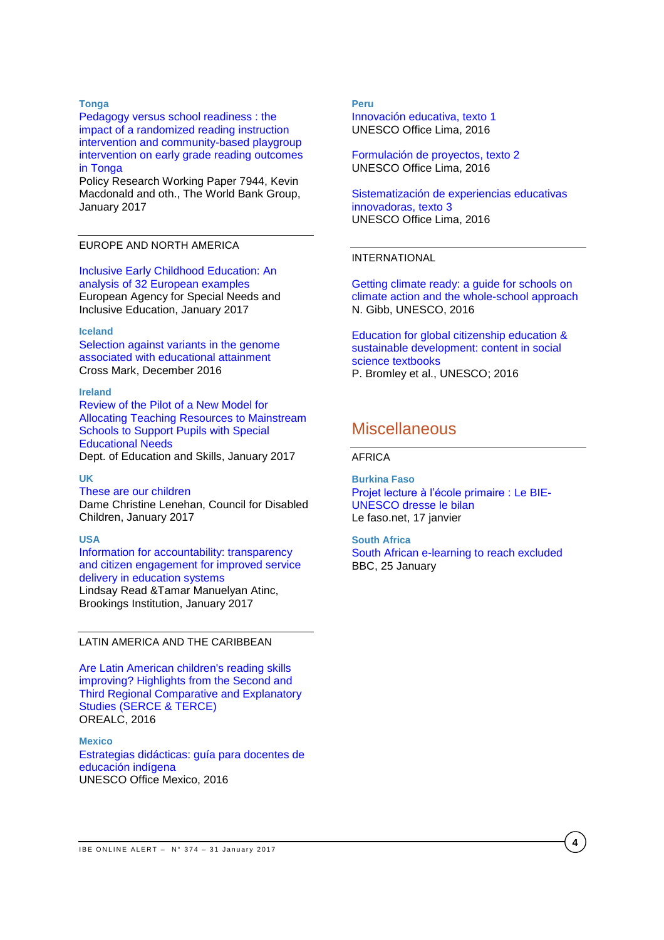#### **Tonga**

[Pedagogy versus school readiness : the](http://documents.worldbank.org/curated/en/651771484764766333/pdf/WPS7944.pdf)  [impact of a randomized reading instruction](http://documents.worldbank.org/curated/en/651771484764766333/pdf/WPS7944.pdf)  [intervention and community-based playgroup](http://documents.worldbank.org/curated/en/651771484764766333/pdf/WPS7944.pdf)  [intervention on early grade reading outcomes](http://documents.worldbank.org/curated/en/651771484764766333/pdf/WPS7944.pdf)  [in Tonga](http://documents.worldbank.org/curated/en/651771484764766333/pdf/WPS7944.pdf)

Policy Research Working Paper 7944, Kevin Macdonald and oth., The World Bank Group, January 2017

#### EUROPE AND NORTH AMERICA

[Inclusive Early Childhood Education: An](https://www.european-agency.org/sites/default/files/IECE%20%C2%AD%20An%20Analysis%20of%2032%20European%20Examples.pdf)  [analysis of 32 European examples](https://www.european-agency.org/sites/default/files/IECE%20%C2%AD%20An%20Analysis%20of%2032%20European%20Examples.pdf) European Agency for Special Needs and Inclusive Education, January 2017

#### **Iceland**

[Selection against variants in the genome](http://www.pnas.org/content/early/2017/01/10/1612113114.full.pdf)  [associated with educational attainment](http://www.pnas.org/content/early/2017/01/10/1612113114.full.pdf) Cross Mark, December 2016

#### **Ireland**

[Review of the Pilot of a New Model for](http://www.education.ie/en/Publications/Inspection-Reports-Publications/Evaluation-Reports-Guidelines/Review-of-the-Pilot-of-a-New-Model-for-Allocating-Teaching-Resources-for-Pupils-with-Special-Educational-Needs.pdf)  [Allocating Teaching Resources to Mainstream](http://www.education.ie/en/Publications/Inspection-Reports-Publications/Evaluation-Reports-Guidelines/Review-of-the-Pilot-of-a-New-Model-for-Allocating-Teaching-Resources-for-Pupils-with-Special-Educational-Needs.pdf)  [Schools to Support Pupils with Special](http://www.education.ie/en/Publications/Inspection-Reports-Publications/Evaluation-Reports-Guidelines/Review-of-the-Pilot-of-a-New-Model-for-Allocating-Teaching-Resources-for-Pupils-with-Special-Educational-Needs.pdf)  [Educational Needs](http://www.education.ie/en/Publications/Inspection-Reports-Publications/Evaluation-Reports-Guidelines/Review-of-the-Pilot-of-a-New-Model-for-Allocating-Teaching-Resources-for-Pupils-with-Special-Educational-Needs.pdf) Dept. of Education and Skills, January 2017

#### **UK**

[These are our children](https://www.gov.uk/government/uploads/system/uploads/attachment_data/file/585376/Lenehan_Review_Report.pdf)  Dame Christine Lenehan, Council for Disabled Children, January 2017

#### **USA**

[Information for accountability: transparency](https://www.brookings.edu/wp-content/uploads/2017/01/global_20170125_information_for_accountability.pdf)  [and citizen engagement for improved service](https://www.brookings.edu/wp-content/uploads/2017/01/global_20170125_information_for_accountability.pdf)  [delivery in education systems](https://www.brookings.edu/wp-content/uploads/2017/01/global_20170125_information_for_accountability.pdf) Lindsay Read &Tamar Manuelyan Atinc, Brookings Institution, January 2017

## LATIN AMERICA AND THE CARIBBEAN

[Are Latin American children's reading skills](http://unesdoc.unesco.org/images/0024/002453/245302e.pdf)  [improving? Highlights from the Second and](http://unesdoc.unesco.org/images/0024/002453/245302e.pdf)  [Third Regional Comparative and Explanatory](http://unesdoc.unesco.org/images/0024/002453/245302e.pdf)  [Studies \(SERCE & TERCE\)](http://unesdoc.unesco.org/images/0024/002453/245302e.pdf) OREALC, 2016

**Mexico** [Estrategias didácticas: guía para docentes de](http://unesdoc.unesco.org/images/0024/002469/246914s.pdf)  [educación indígena](http://unesdoc.unesco.org/images/0024/002469/246914s.pdf) UNESCO Office Mexico, 2016

### **Peru**

[Innovación educativa, texto 1](http://unesdoc.unesco.org/images/0024/002470/247005s.pdf) UNESCO Office Lima, 2016

[Formulación de proyectos, texto 2](http://unesdoc.unesco.org/images/0024/002470/247006s.pdf) UNESCO Office Lima, 2016

[Sistematización de experiencias educativas](http://unesdoc.unesco.org/images/0024/002470/247007s.pdf)  [innovadoras, texto 3](http://unesdoc.unesco.org/images/0024/002470/247007s.pdf) UNESCO Office Lima, 2016

#### INTERNATIONAL

[Getting climate ready: a guide for schools on](http://unesdoc.unesco.org/images/0024/002467/246740e.pdf)  [climate action and the whole-school approach](http://unesdoc.unesco.org/images/0024/002467/246740e.pdf) N. Gibb, UNESCO, 2016

[Education for global citizenship education &](http://unesdoc.unesco.org/images/0024/002456/245614e.pdf)  [sustainable development: content in social](http://unesdoc.unesco.org/images/0024/002456/245614e.pdf)  [science textbooks](http://unesdoc.unesco.org/images/0024/002456/245614e.pdf) P. Bromley et al., UNESCO; 2016

## **Miscellaneous**

#### AFRICA

**Burkina Faso** [Projet lecture à l'école primaire](http://lefaso.net/spip.php?article75269) : Le BIE-[UNESCO dresse le bilan](http://lefaso.net/spip.php?article75269) Le faso.net, 17 janvier

#### **South Africa**

[South African e-learning to reach excluded](http://www.bbc.com/news/business-38717976) BBC, 25 January

**4**